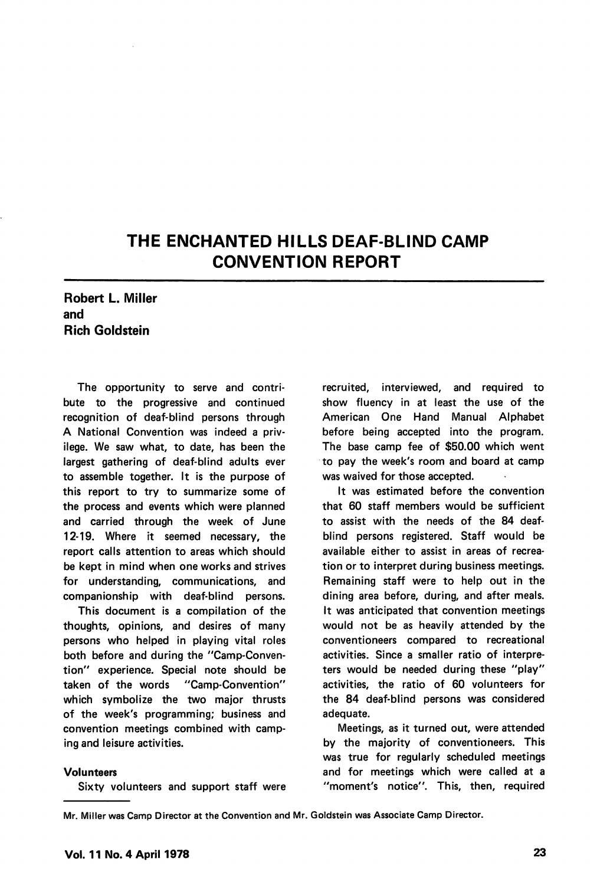# THE ENCHANTED HILLS DEAF-BLIND CAMP CONVENTION REPORT

## Robert L. Miller and Rich Goldstein

The opportunity to serve and contri bute to the progressive and continued recognition of deaf-blind persons through A National Convention was indeed a priv ilege. We saw what, to date, has been the largest gathering of deaf-blind adults ever to assemble together. It is the purpose of this report to try to summarize some of the process and events which were planned and carried through the week of June 12-19. Where it seemed necessary, the report calls attention to areas which should be kept in mind when one works and strives for understanding, communications, and companionship with deaf-blind persons.

This document is a compilation of the thoughts, opinions, and desires of many persons who helped in playing vital roles both before and during the "Camp-Conven tion" experience. Special note should be taken of the words "Camp-Convention" which symbolize the two major thrusts of the week's programming; business and convention meetings combined with camp ing and leisure activities.

#### Volunteers

Sixty volunteers and support staff were

recruited, interviewed, and required to show fluency in at least the use of the American One Hand Manual Alphabet before being accepted into the program. The base camp fee of \$50.00 which went to pay the week's room and board at camp was waived for those accepted.

It was estimated before the convention that 60 staff members would be sufficient to assist with the needs of the 84 deafblind persons registered. Staff would be available either to assist in areas of recrea tion or to interpret during business meetings. Remaining staff were to help out in the dining area before, during, and after meals. It was anticipated that convention meetings would not be as heavily attended by the conventioneers compared to recreational activities. Since a smaller ratio of interpre ters would be needed during these "play" activities, the ratio of 60 volunteers for the 84 deaf-blind persons was considered adequate.

Meetings, as it turned out, were attended by the majority of conventioneers. This was true for regularly scheduled meetings and for meetings which were called at a "moment's notice". This, then, required

Mr. Miller was Camp Director at the Convention and Mr. Goldstein was Associate Camp Director.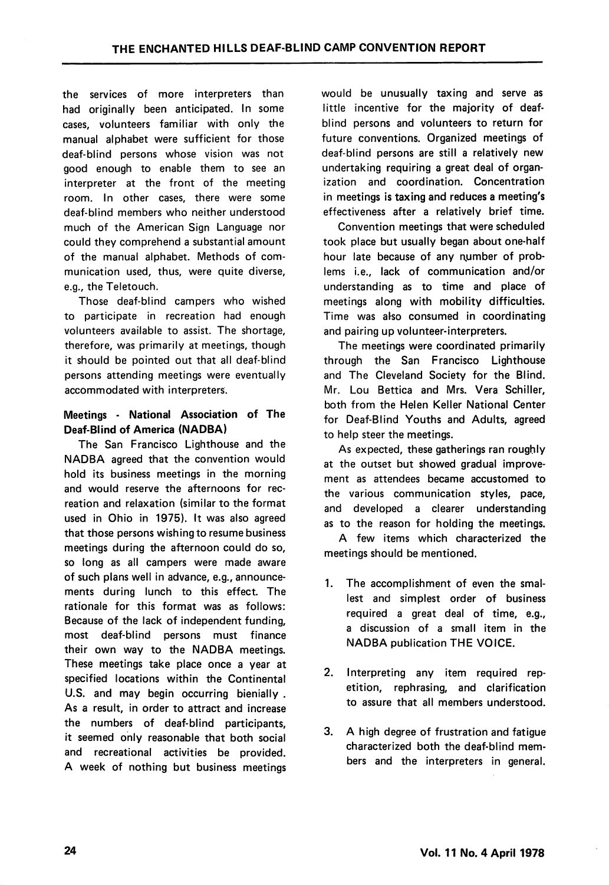the services of more interpreters than had originally been anticipated. In some cases, volunteers familiar with only the manual alphabet were sufficient for those deaf-blind persons whose vision was not good enough to enable them to see an interpreter at the front of the meeting room. In other cases, there were some deaf-blind members who neither understood much of the American Sign Language nor could they comprehend a substantial amount of the manual alphabet. Methods of com munication used, thus, were quite diverse, e.g., the Teletouch.

Those deaf-blind campers who wished to participate in recreation had enough volunteers available to assist. The shortage, therefore, was primarily at meetings, though it should be pointed out that all deaf-blind persons attending meetings were eventually accommodated with interpreters.

## Meetings - National Association of The Deaf-Blind of America (NADBA)

The San Francisco Lighthouse and the NADBA agreed that the convention would hold its business meetings in the morning and would reserve the afternoons for rec reation and relaxation (similar to the format used in Ohio in 1975). It was also agreed that those persons wishing to resume business meetings during the afternoon could do so, so long as ail campers were made aware of such plans well in advance, e.g., announce ments during lunch to this effect. The rationale for this format was as follows: Because of the lack of independent funding, most deaf-blind persons must finance their own way to the NADBA meetings. These meetings take place once a year at specified locations within the Continental U.S. and may begin occurring bienially . As a result, in order to attract and increase the numbers of deaf-blind participants, it seemed only reasonable that both social and recreational activities be provided. A week of nothing but business meetings

would be unusually taxing and serve as little incentive for the majority of deafblind persons and volunteers to return for future conventions. Organized meetings of deaf-blind persons are still a relatively new undertaking requiring a great deal of organ ization and coordination. Concentration in meetings is taxing and reduces a meeting's effectiveness after a relatively brief time.

Convention meetings that were scheduled took place but usually began about one-half hour late because of any number of problems i.e., lack of communication and/or understanding as to time and place of meetings along with mobility difficulties. Time was also consumed in coordinating and pairing up volunteer-interpreters.

The meetings were coordinated primarily through the San Francisco Lighthouse and The Cleveland Society for the Blind. Mr. Lou Bettica and Mrs. Vera Schiller, both from the Helen Keller National Center for Deaf-Blind Youths and Adults, agreed to help steer the meetings.

As expected, these gatherings ran roughly at the outset but showed gradual improve ment as attendees became accustomed to the various communication styles, pace, and developed a clearer understanding as to the reason for holding the meetings.

A few items which characterized the meetings should be mentioned.

- 1. The accomplishment of even the smal lest and simplest order of business required a great deal of time, e.g., a discussion of a small item in the NADBA publication THE VOICE.
- 2. Interpreting any item required rep etition, rephrasing, and clarification to assure that all members understood.
- 3. A high degree of frustration and fatigue characterized both the deaf-blind mem bers and the interpreters in general.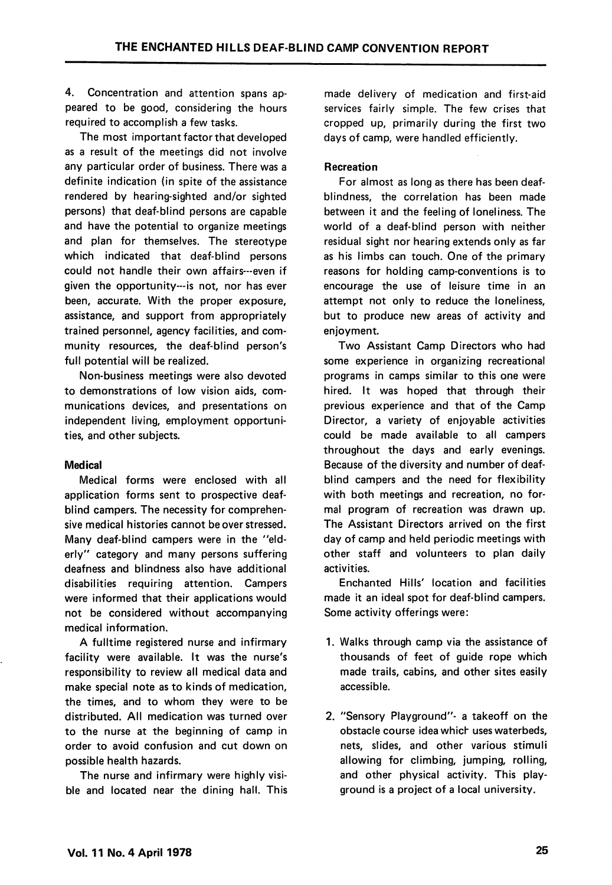4. Concentration and attention spans ap peared to be good, considering the hours required to accomplish a few tasks.

The most important factor that developed as a result of the meetings did not involve any particular order of business. There was a definite indication (in spite of the assistance rendered by hearing-sighted and/or sighted persons) that deaf-blind persons are capable and have the potential to organize meetings and plan for themselves. The stereotype which indicated that deaf-blind persons could not handle their own affairs---even if given the opportunity—is not, nor has ever been, accurate. With the proper exposure, assistance, and support from appropriately trained personnel, agency facilities, and com munity resources, the deaf-blind person's full potential will be realized.

Non-business meetings were also devoted to demonstrations of low vision aids, com munications devices, and presentations on independent living, employment opportuni ties, and other subjects.

## Medical

Medical forms were enclosed with all application forms sent to prospective deafblind campers. The necessity for comprehen sive medical histories cannot be over stressed. Many deaf-blind campers were in the "eld erly" category and many persons suffering deafness and blindness also have additional disabilities requiring attention. Campers were informed that their applications would not be considered without accompanying medical information.

A fulltime registered nurse and infirmary facility were available. It was the nurse's responsibility to review all medical data and make special note as to kinds of medication, the times, and to whom they were to be distributed. All medication was turned over to the nurse at the beginning of camp in order to avoid confusion and cut down on possible health hazards.

The nurse and infirmary were highly visi ble and located near the dining hall. This

made delivery of medication and first-aid services fairly simple. The few crises that cropped up, primarily during the first two days of camp, were handled efficiently.

### Recreation

For almost as long as there has been deafblindness, the correlation has been made between it and the feeling of loneliness. The world of a deaf-blind person with neither residual sight nor hearing extends only as far as his limbs can touch. One of the primary reasons for holding camp-conventions is to encourage the use of leisure time in an attempt not only to reduce the loneliness, but to produce new areas of activity and enjoyment.

Two Assistant Camp Directors who had some experience in organizing recreational programs in camps similar to this one were hired. It was hoped that through their previous experience and that of the Camp Director, a variety of enjoyable activities could be made available to all campers throughout the days and early evenings. Because of the diversity and number of deafblind campers and the need for flexibility with both meetings and recreation, no for mal program of recreation was drawn up. The Assistant Directors arrived on the first day of camp and held periodic meetings with other staff and volunteers to plan daily activities.

Enchanted Hills' location and facilities made it an ideal spot for deaf-blind campers. Some activity offerings were:

- 1. Walks through camp via the assistance of thousands of feet of guide rope which made trails, cabins, and other sites easily accessible.
- 2. "Sensory Playground"- a takeoff on the obstacle course idea which uses waterbeds, nets, slides, and other various stimuli allowing for climbing, jumping, rolling, and other physical activity. This play ground is a project of a local university.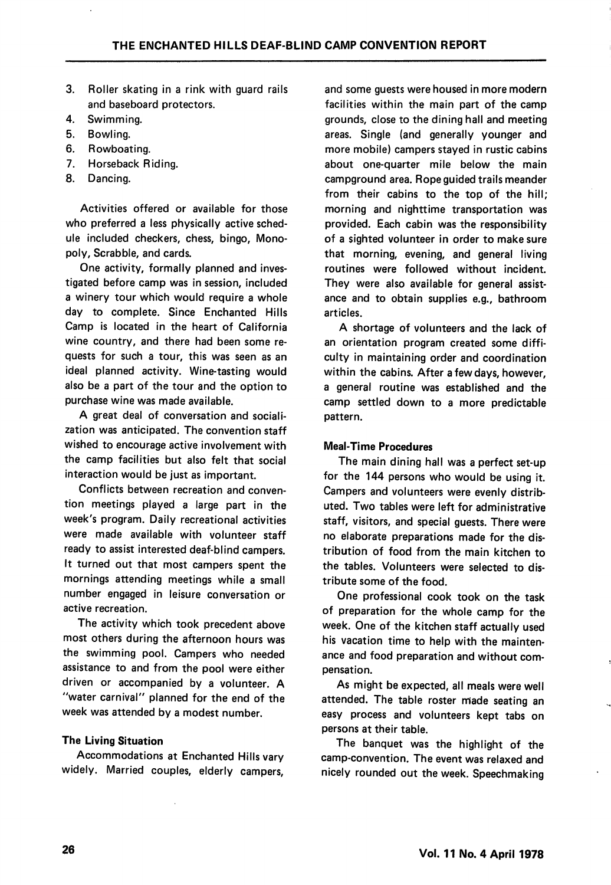- 3. Roller skating in a rink with guard rails and baseboard protectors.
- 4. Swimming.
- 5. Bowling.
- 6. Rowboating.
- 7. Horseback Riding.
- 8. Dancing.

Activities offered or available for those who preferred a less physically active schedule included checkers, chess, bingo. Mono poly, Scrabble, and cards.

One activity, formally planned and inves tigated before camp was in session, included a winery tour which would require a whole day to complete. Since Enchanted Hills Camp is located in the heart of California wine country, and there had been some re quests for such a tour, this was seen as an ideal planned activity. Wine-tasting would also be a part of the tour and the option to purchase wine was made available.

A great deal of conversation and sociali zation was anticipated. The convention staff wished to encourage active involvement with the camp facilities but also felt that social interaction would be just as important.

Conflicts between recreation and conven tion meetings played a large part in the week's program. Daily recreational activities were made available with volunteer staff ready to assist interested deaf-blind campers. It turned out that most campers spent the mornings attending meetings while a small number engaged in leisure conversation or active recreation.

The activity which took precedent above most others during the afternoon hours was the swimming pool. Campers who needed assistance to and from the pool were either driven or accompanied by a volunteer. A "water carnival" planned for the end of the week was attended by a modest number.

#### The Living Situation

Accommodations at Enchanted Hills vary widely. Married couples, elderly campers.

and some guests were housed in more modern facilities within the main part of the camp grounds, close to the dining hall and meeting areas. Single (and generally younger and more mobile) campers stayed in rustic cabins about one-quarter mile below the main campground area. Rope guided trails meander from their cabins to the top of the hill; morning and nighttime transportation was provided. Each cabin was the responsibility of a sighted volunteer in order to make sure that morning, evening, and general living routines were followed without incident. They were also available for general assistance and to obtain supplies e.g., bathroom articles.

A shortage of volunteers and the lack of an orientation program created some diffi culty in maintaining order and coordination within the cabins. After a few days, however, a general routine was established and the camp settled down to a more predictable pattern.

#### Meal-Time Procedures

The main dining hall was a perfect set-up for the 144 persons who would be using it. Campers and volunteers were evenly distrib uted. Two tables were left for administrative staff, visitors, and special guests. There were no elaborate preparations made for the dis tribution of food from the main kitchen to the tables. Volunteers were selected to dis tribute some of the food.

One professional cook took on the task of preparation for the whole camp for the week. One of the kitchen staff actually used his vacation time to help with the mainten ance and food preparation and without com pensation.

As might be expected, all meals were well attended. The table roster made seating an easy process and volunteers kept tabs on persons at their table.

The banquet was the highlight of the camp-convention. The event was relaxed and nicely rounded out the week. Speechmaking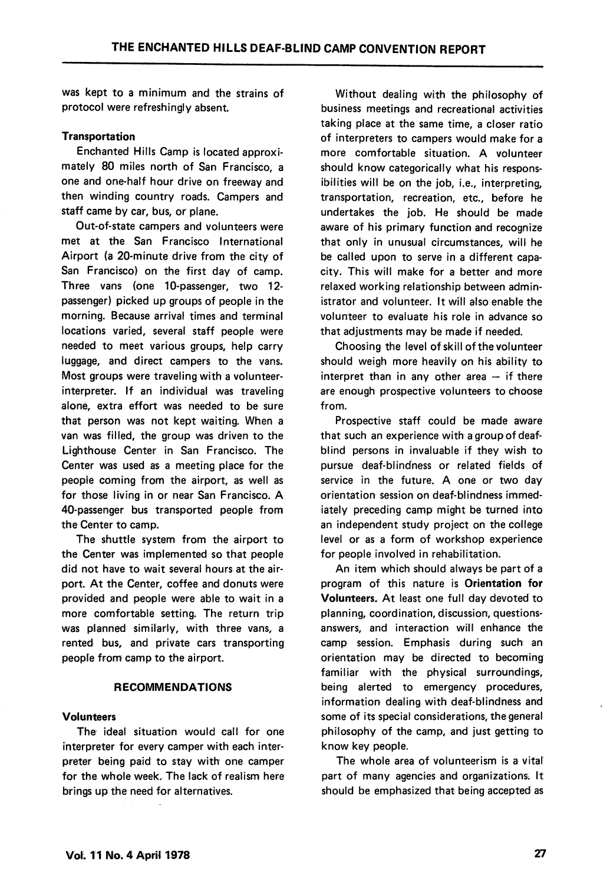was kept to a minimum and the strains of protocol were refreshingly absent.

#### Transportation

Enchanted Hills Camp is located approxi mately 80 miles north of San Francisco, a one and one-half hour drive on freeway and then winding country roads. Campers and staff came by car, bus, or plane.

Out-of-state campers and volunteers were met at the San Francisco International Airport (a 20-minute drive from the city of San Francisco) on the first day of camp. Three vans (one 10-passenger, two 12 passenger) picked up groups of people in the morning. Because arrival times and terminal locations varied, several staff people were needed to meet various groups, help carry luggage, and direct campers to the vans. Most groups were traveling with a volunteerinterpreter. If an individual was traveling alone, extra effort was needed to be sure that person was not kept waiting. When a van was filled, the group was driven to the Lighthouse Center in San Francisco. The Center was used as a meeting place for the people coming from the airport, as well as for those living in or near San Francisco. A 40-passenger bus transported people from the Center to camp.

The shuttle system from the airport to the Center was implemented so that people did not have to wait several hours at the air port. At the Center, coffee and donuts were provided and people were able to wait in a more comfortable setting. The return trip was planned similarly, with three vans, a rented bus, and private cars transporting people from camp to the airport.

#### RECOMMENDATIONS

#### Volunteers

The ideal situation would call for one interpreter for every camper with each inter preter being paid to stay with one camper for the whole week. The lack of realism here brings up the need for alternatives.

Without dealing with the philosophy of business meetings and recreational activities taking place at the same time, a closer ratio of interpreters to campers would make for a more comfortable situation. A volunteer should know categorically what his respons ibilities will be on the job, i.e., interpreting, transportation, recreation, etc., before he undertakes the job. He should be made aware of his primary function and recognize that only in unusual circumstances, will he be called upon to serve in a different capa city. This will make for a better and more relaxed working relationship between admin istrator and volunteer. It will also enable the volunteer to evaluate his role in advance so that adjustments may be made if needed.

Choosing the level of skill of the volunteer should weigh more heavily on his ability to interpret than in any other area  $-$  if there are enough prospective volunteers to choose from.

Prospective staff could be made aware that such an experience with a group of deafblind persons in invaluable if they wish to pursue deaf-blindness or related fields of service in the future. A one or two day orientation session on deaf-blindness immed iately preceding camp might be turned into an independent study project on the college level or as a form of workshop experience for people involved in rehabilitation.

An item which should always be part of a program of this nature is Orientation for Volunteers. At least one full day devoted to planning, coordination, discussion, questionsanswers, and interaction will enhance the camp session. Emphasis during such an orientation may be directed to becoming familiar with the physical surroundings, being alerted to emergency procedures, information dealing with deaf-blindness and some of its special considerations, the general philosophy of the camp, and just getting to know key people.

The whole area of volunteerism is a vital part of many agencies and organizations. It should be emphasized that being accepted as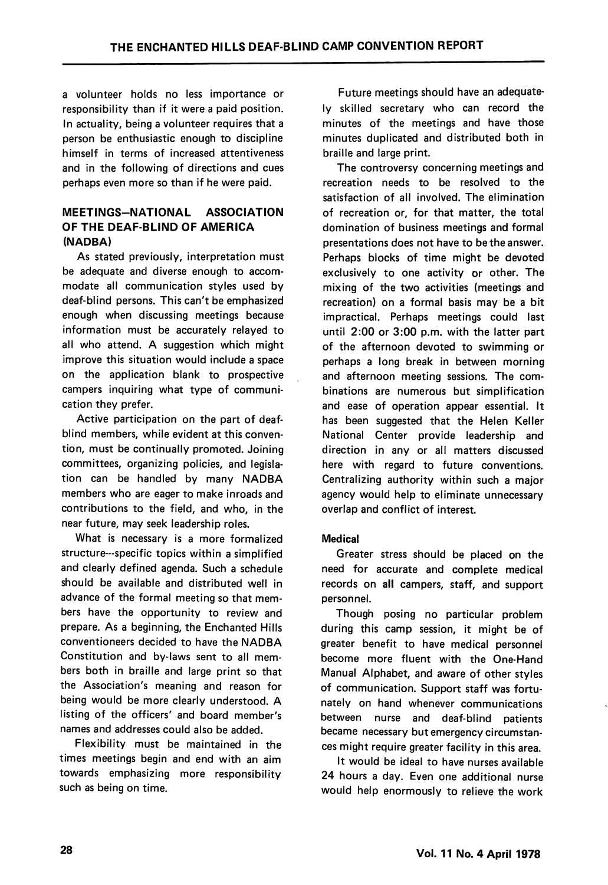a volunteer holds no less importance or responsibility than if it were a paid position. In actuality, being a volunteer requires that a person be enthusiastic enough to discipline himself in terms of increased attentiveness and in the following of directions and cues perhaps even more so than if he were paid.

## MEETINGS-NATIONAL ASSOCIATION OF THE DEAF-BLIND OF AMERICA (NADBA)

As stated previously, interpretation must be adequate and diverse enough to accom modate all communication styles used by deaf-blind persons. This can't be emphasized enough when discussing meetings because information must be accurately relayed to all who attend. A suggestion which might improve this situation would include a space on the application blank to prospective campers inquiring what type of communi cation they prefer.

Active participation on the part of deafblind members, while evident at this conven tion, must be continually promoted. Joining committees, organizing policies, and legisla tion can be handled by many NADBA members who are eager to make inroads and contributions to the field, and who, in the near future, may seek leadership roles.

What is necessary is a more formalized structure—specific topics within a simplified and clearly defined agenda. Such a schedule should be available and distributed well in advance of the formal meeting so that mem bers have the opportunity to review and prepare. As a beginning, the Enchanted Hills conventioneers decided to have the NADBA Constitution and by-laws sent to all mem bers both in braille and large print so that the Association's meaning and reason for being would be more clearly understood. A listing of the officers' and board member's names and addresses could also be added.

Flexibility must be maintained in the times meetings begin and end with an aim towards emphasizing more responsibility such as being on time.

Future meetings should have an adequate ly skilled secretary who can record the minutes of the meetings and have those minutes duplicated and distributed both in braille and large print.

The controversy concerning meetings and recreation needs to be resolved to the satisfaction of all involved. The elimination of recreation or, for that matter, the total domination of business meetings and formal presentations does not have to be the answer. Perhaps blocks of time might be devoted exclusively to one activity or other. The mixing of the two activities (meetings and recreation) on a formal basis may be a bit impractical. Perhaps meetings could last until 2:00 or 3:00 p.m. with the latter part of the afternoon devoted to swimming or perhaps a long break in between morning and afternoon meeting sessions. The com binations are numerous but simplification and ease of operation appear essential. It has been suggested that the Helen Keller National Center provide leadership and direction in any or all matters discussed here with regard to future conventions. Centralizing authority within such a major agency would help to eliminate unnecessary overlap and conflict of interest.

## Medical

Greater stress should be placed on the need for accurate and complete medical records on all campers, staff, and support personnel.

Though posing no particular problem during this camp session, it might be of greater benefit to have medical personnel become more fluent with the One-Hand Manual Alphabet, and aware of other styles of communication. Support staff was fortu nately on hand whenever communications between nurse and deaf-blind patients became necessary but emergency circumstan ces might require greater facility in this area.

It would be ideal to have nurses available 24 hours a day. Even one additional nurse would help enormously to relieve the work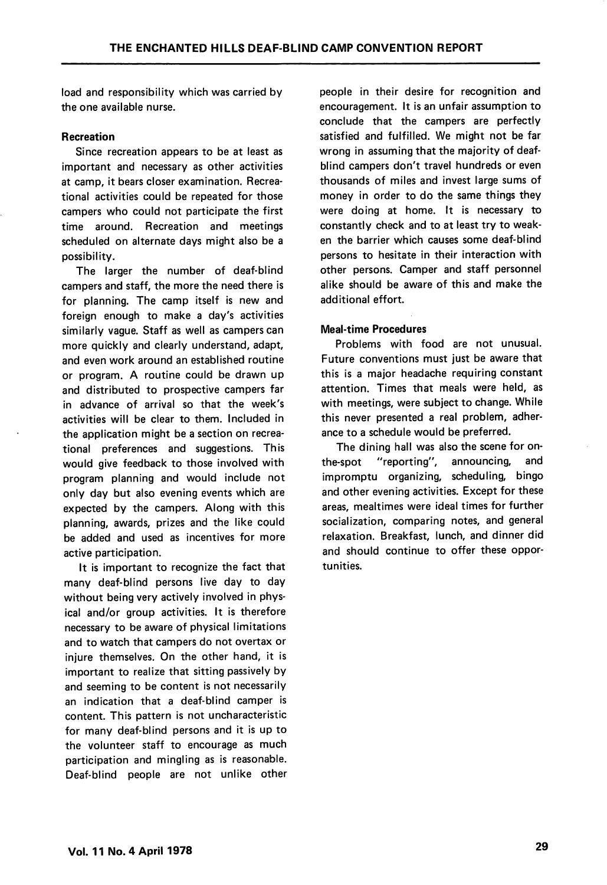load and responsibility which was carried by the one available nurse.

#### Recreation

Since recreation appears to be at least as important and necessary as other activities at camp, it bears closer examination. Recrea tional activities could be repeated for those campers who could not participate the first time around. Recreation and meetings scheduled on alternate days might also be a possibility.

The larger the number of deaf-blind campers and staff, the more the need there is for planning. The camp itself is new and foreign enough to make a day's activities similarly vague. Staff as well as campers can more quickly and clearly understand, adapt, and even work around an established routine or program. A routine could be drawn up and distributed to prospective campers far in advance of arrival so that the week's activities will be clear to them. Included in the application might be a section on recrea tional preferences and suggestions. This would give feedback to those involved with program planning and would include not only day but also evening events which are expected by the campers. Along with this planning, awards, prizes and the like could be added and used as incentives for more active participation.

It is important to recognize the fact that many deaf-blind persons live day to day without being very actively involved in phys ical and/or group activities. It is therefore necessary to be aware of physical limitations and to watch that campers do not overtax or injure themselves. On the other hand, it is important to realize that sitting passively by and seeming to be content is not necessarily an indication that a deaf-blind camper is content. This pattern is not uncharacteristic for many deaf-blind persons and it is up to the volunteer staff to encourage as much participation and mingling as is reasonable. Deaf-blind people are not unlike other

people in their desire for recognition and encouragement. It is an unfair assumption to conclude that the campers are perfectly satisfied and fulfilled. We might not be far wrong in assuming that the majority of deafblind campers don't travel hundreds or even thousands of miles and invest large sums of money in order to do the same things they were doing at home. It is necessary to constantly check and to at least try to weak en the barrier which causes some deaf-blind persons to hesitate in their interaction with other persons. Camper and staff personnel alike should be aware of this and make the additional effort.

#### Meal-time Procedures

Problems with food are not unusual. Future conventions must just be aware that this is a major headache requiring constant attention. Times that meals were held, as with meetings, were subject to change. While this never presented a real problem, adher ance to a schedule would be preferred.

The dining hall was also the scene for onthe-spot "reporting", announcing, and impromptu organizing, scheduling, bingo and other evening activities. Except for these areas, mealtimes were ideal times for further socialization, comparing notes, and general relaxation. Breakfast, lunch, and dinner did and should continue to offer these oppor tunities.